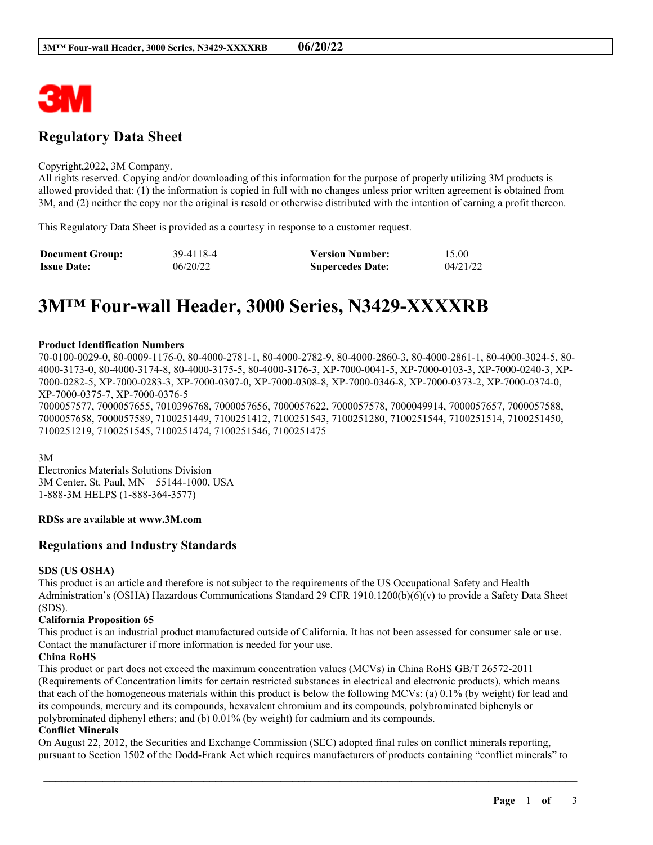

# **Regulatory Data Sheet**

#### Copyright,2022, 3M Company.

All rights reserved. Copying and/or downloading of this information for the purpose of properly utilizing 3M products is allowed provided that: (1) the information is copied in full with no changes unless prior written agreement is obtained from 3M, and (2) neither the copy nor the original is resold or otherwise distributed with the intention of earning a profit thereon.

This Regulatory Data Sheet is provided as a courtesy in response to a customer request.

| <b>Document Group:</b> | 39-4118-4 | <b>Version Number:</b>  | 15.00    |
|------------------------|-----------|-------------------------|----------|
| <b>Issue Date:</b>     | 06/20/22  | <b>Supercedes Date:</b> | 04/21/22 |

# **3M™ Four-wall Header, 3000 Series, N3429-XXXXRB**

#### **Product Identification Numbers**

70-0100-0029-0, 80-0009-1176-0, 80-4000-2781-1, 80-4000-2782-9, 80-4000-2860-3, 80-4000-2861-1, 80-4000-3024-5, 80- 4000-3173-0, 80-4000-3174-8, 80-4000-3175-5, 80-4000-3176-3, XP-7000-0041-5, XP-7000-0103-3, XP-7000-0240-3, XP-7000-0282-5, XP-7000-0283-3, XP-7000-0307-0, XP-7000-0308-8, XP-7000-0346-8, XP-7000-0373-2, XP-7000-0374-0, XP-7000-0375-7, XP-7000-0376-5

7000057577, 7000057655, 7010396768, 7000057656, 7000057622, 7000057578, 7000049914, 7000057657, 7000057588, 7000057658, 7000057589, 7100251449, 7100251412, 7100251543, 7100251280, 7100251544, 7100251514, 7100251450, 7100251219, 7100251545, 7100251474, 7100251546, 7100251475

3M

Electronics Materials Solutions Division 3M Center, St. Paul, MN 55144-1000, USA 1-888-3M HELPS (1-888-364-3577)

#### **RDSs are available at www.3M.com**

#### **Regulations and Industry Standards**

#### **SDS (US OSHA)**

This product is an article and therefore is not subject to the requirements of the US Occupational Safety and Health Administration's (OSHA) Hazardous Communications Standard 29 CFR 1910.1200(b)(6)(v) to provide a Safety Data Sheet (SDS).

#### **California Proposition 65**

This product is an industrial product manufactured outside of California. It has not been assessed for consumer sale or use. Contact the manufacturer if more information is needed for your use.

#### **China RoHS**

This product or part does not exceed the maximum concentration values (MCVs) in China RoHS GB/T 26572-2011 (Requirements of Concentration limits for certain restricted substances in electrical and electronic products), which means that each of the homogeneous materials within this product is below the following MCVs: (a) 0.1% (by weight) for lead and its compounds, mercury and its compounds, hexavalent chromium and its compounds, polybrominated biphenyls or polybrominated diphenyl ethers; and (b) 0.01% (by weight) for cadmium and its compounds.

#### **Conflict Minerals**

On August 22, 2012, the Securities and Exchange Commission (SEC) adopted final rules on conflict minerals reporting, pursuant to Section 1502 of the Dodd-Frank Act which requires manufacturers of products containing "conflict minerals" to

\_\_\_\_\_\_\_\_\_\_\_\_\_\_\_\_\_\_\_\_\_\_\_\_\_\_\_\_\_\_\_\_\_\_\_\_\_\_\_\_\_\_\_\_\_\_\_\_\_\_\_\_\_\_\_\_\_\_\_\_\_\_\_\_\_\_\_\_\_\_\_\_\_\_\_\_\_\_\_\_\_\_\_\_\_\_\_\_\_\_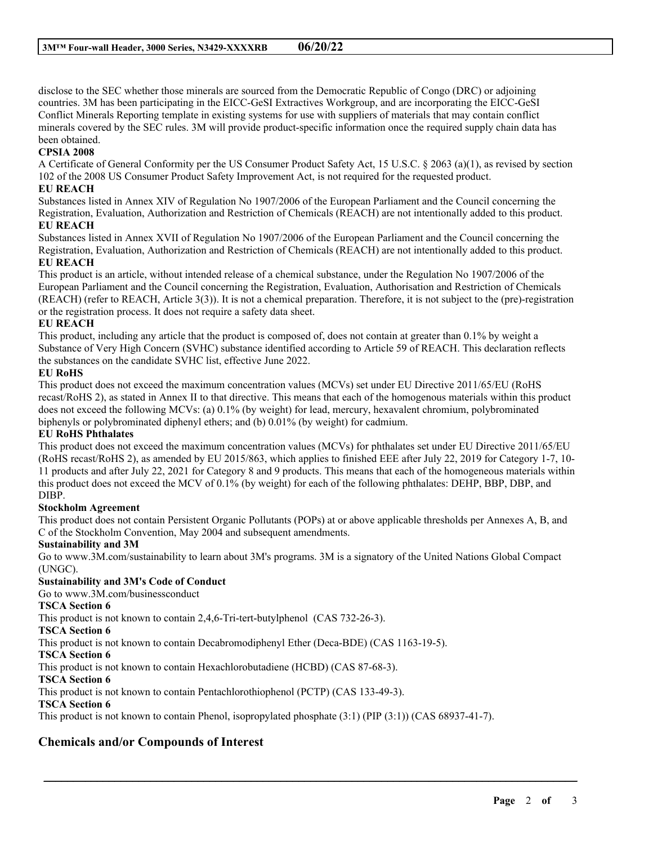disclose to the SEC whether those minerals are sourced from the Democratic Republic of Congo (DRC) or adjoining countries. 3M has been participating in the EICC-GeSI Extractives Workgroup, and are incorporating the EICC-GeSI Conflict Minerals Reporting template in existing systems for use with suppliers of materials that may contain conflict minerals covered by the SEC rules. 3M will provide product-specific information once the required supply chain data has been obtained.

# **CPSIA 2008**

A Certificate of General Conformity per the US Consumer Product Safety Act, 15 U.S.C. § 2063 (a)(1), as revised by section 102 of the 2008 US Consumer Product Safety Improvement Act, is not required for the requested product.

## **EU REACH**

Substances listed in Annex XIV of Regulation No 1907/2006 of the European Parliament and the Council concerning the Registration, Evaluation, Authorization and Restriction of Chemicals (REACH) are not intentionally added to this product. **EU REACH**

Substances listed in Annex XVII of Regulation No 1907/2006 of the European Parliament and the Council concerning the Registration, Evaluation, Authorization and Restriction of Chemicals (REACH) are not intentionally added to this product. **EU REACH**

This product is an article, without intended release of a chemical substance, under the Regulation No 1907/2006 of the European Parliament and the Council concerning the Registration, Evaluation, Authorisation and Restriction of Chemicals (REACH) (refer to REACH, Article 3(3)). It is not a chemical preparation. Therefore, it is not subject to the (pre)-registration or the registration process. It does not require a safety data sheet.

#### **EU REACH**

This product, including any article that the product is composed of, does not contain at greater than 0.1% by weight a Substance of Very High Concern (SVHC) substance identified according to Article 59 of REACH. This declaration reflects the substances on the candidate SVHC list, effective June 2022.

#### **EU RoHS**

This product does not exceed the maximum concentration values (MCVs) set under EU Directive 2011/65/EU (RoHS recast/RoHS 2), as stated in Annex II to that directive. This means that each of the homogenous materials within this product does not exceed the following MCVs: (a) 0.1% (by weight) for lead, mercury, hexavalent chromium, polybrominated biphenyls or polybrominated diphenyl ethers; and (b) 0.01% (by weight) for cadmium.

#### **EU RoHS Phthalates**

This product does not exceed the maximum concentration values (MCVs) for phthalates set under EU Directive 2011/65/EU (RoHS recast/RoHS 2), as amended by EU 2015/863, which applies to finished EEE after July 22, 2019 for Category 1-7, 10- 11 products and after July 22, 2021 for Category 8 and 9 products. This means that each of the homogeneous materials within this product does not exceed the MCV of 0.1% (by weight) for each of the following phthalates: DEHP, BBP, DBP, and DIBP.

#### **Stockholm Agreement**

This product does not contain Persistent Organic Pollutants (POPs) at or above applicable thresholds per Annexes A, B, and C of the Stockholm Convention, May 2004 and subsequent amendments.

#### **Sustainability and 3M**

Go to www.3M.com/sustainability to learn about 3M's programs. 3M is a signatory of the United Nations Global Compact (UNGC).

\_\_\_\_\_\_\_\_\_\_\_\_\_\_\_\_\_\_\_\_\_\_\_\_\_\_\_\_\_\_\_\_\_\_\_\_\_\_\_\_\_\_\_\_\_\_\_\_\_\_\_\_\_\_\_\_\_\_\_\_\_\_\_\_\_\_\_\_\_\_\_\_\_\_\_\_\_\_\_\_\_\_\_\_\_\_\_\_\_\_

## **Sustainability and 3M's Code of Conduct**

Go to www.3M.com/businessconduct

# **TSCA Section 6**

This product is not known to contain 2,4,6-Tri-tert-butylphenol (CAS 732-26-3).

**TSCA Section 6**

This product is not known to contain Decabromodiphenyl Ether (Deca-BDE) (CAS 1163-19-5).

#### **TSCA Section 6**

This product is not known to contain Hexachlorobutadiene (HCBD) (CAS 87-68-3).

#### **TSCA Section 6**

This product is not known to contain Pentachlorothiophenol (PCTP) (CAS 133-49-3).

#### **TSCA Section 6**

This product is not known to contain Phenol, isopropylated phosphate (3:1) (PIP (3:1)) (CAS 68937-41-7).

# **Chemicals and/or Compounds of Interest**